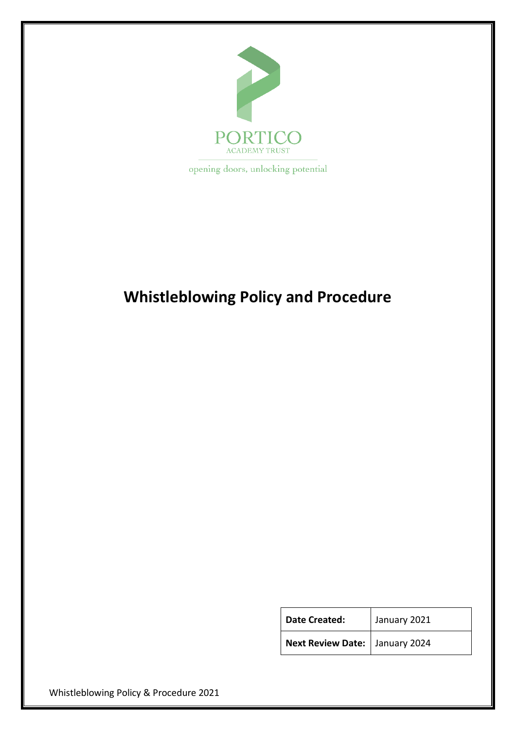

opening doors, unlocking potential

# **Whistleblowing Policy and Procedure**

| Date Created:                    | January 2021 |
|----------------------------------|--------------|
| Next Review Date:   January 2024 |              |

Whistleblowing Policy & Procedure 2021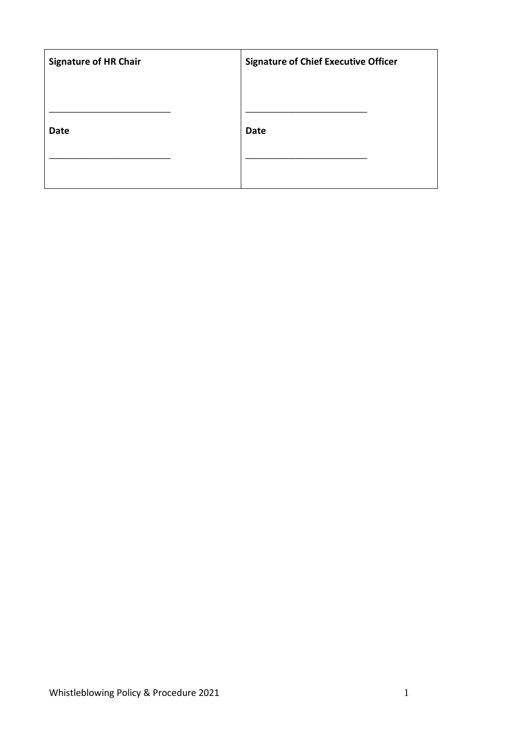| <b>Signature of HR Chair</b> | <b>Signature of Chief Executive Officer</b> |
|------------------------------|---------------------------------------------|
|                              |                                             |
|                              |                                             |
| <b>Date</b>                  | <b>Date</b>                                 |
|                              |                                             |
|                              |                                             |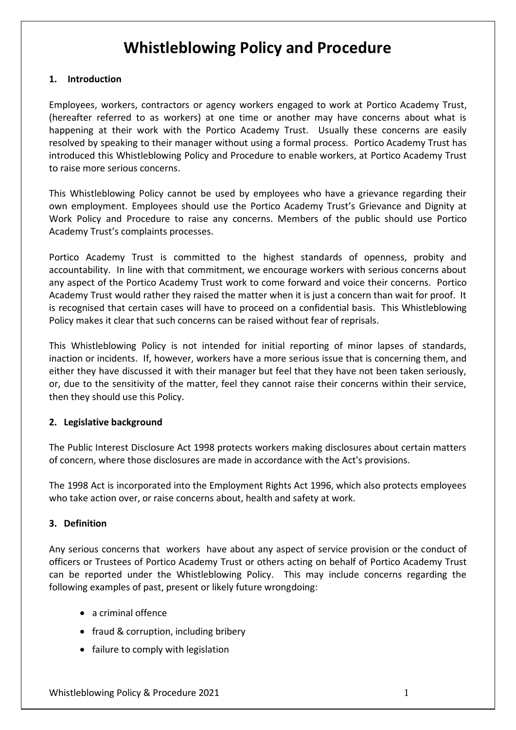## **Whistleblowing Policy and Procedure**

#### **1. Introduction**

Employees, workers, contractors or agency workers engaged to work at Portico Academy Trust, (hereafter referred to as workers) at one time or another may have concerns about what is happening at their work with the Portico Academy Trust. Usually these concerns are easily resolved by speaking to their manager without using a formal process. Portico Academy Trust has introduced this Whistleblowing Policy and Procedure to enable workers, at Portico Academy Trust to raise more serious concerns.

This Whistleblowing Policy cannot be used by employees who have a grievance regarding their own employment. Employees should use the Portico Academy Trust's Grievance and Dignity at Work Policy and Procedure to raise any concerns. Members of the public should use Portico Academy Trust's complaints processes.

Portico Academy Trust is committed to the highest standards of openness, probity and accountability. In line with that commitment, we encourage workers with serious concerns about any aspect of the Portico Academy Trust work to come forward and voice their concerns. Portico Academy Trust would rather they raised the matter when it is just a concern than wait for proof. It is recognised that certain cases will have to proceed on a confidential basis. This Whistleblowing Policy makes it clear that such concerns can be raised without fear of reprisals.

This Whistleblowing Policy is not intended for initial reporting of minor lapses of standards, inaction or incidents. If, however, workers have a more serious issue that is concerning them, and either they have discussed it with their manager but feel that they have not been taken seriously, or, due to the sensitivity of the matter, feel they cannot raise their concerns within their service, then they should use this Policy.

## **2. Legislative background**

The Public Interest Disclosure Act 1998 protects workers making disclosures about certain matters of concern, where those disclosures are made in accordance with the Act's provisions.

The 1998 Act is incorporated into the Employment Rights Act 1996, which also protects employees who take action over, or raise concerns about, health and safety at work.

#### **3. Definition**

Any serious concerns that workers have about any aspect of service provision or the conduct of officers or Trustees of Portico Academy Trust or others acting on behalf of Portico Academy Trust can be reported under the Whistleblowing Policy. This may include concerns regarding the following examples of past, present or likely future wrongdoing:

- a criminal offence
- fraud & corruption, including bribery
- failure to comply with legislation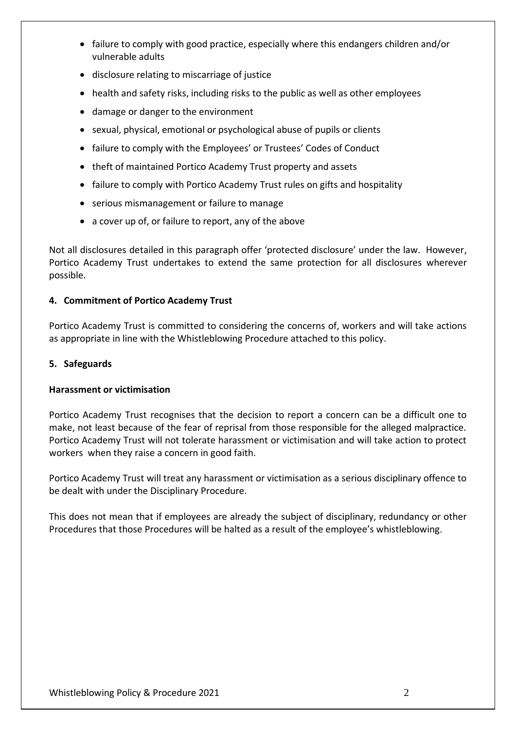- failure to comply with good practice, especially where this endangers children and/or vulnerable adults
- disclosure relating to miscarriage of justice
- health and safety risks, including risks to the public as well as other employees
- damage or danger to the environment
- sexual, physical, emotional or psychological abuse of pupils or clients
- failure to comply with the Employees' or Trustees' Codes of Conduct
- theft of maintained Portico Academy Trust property and assets
- failure to comply with Portico Academy Trust rules on gifts and hospitality
- serious mismanagement or failure to manage
- a cover up of, or failure to report, any of the above

Not all disclosures detailed in this paragraph offer 'protected disclosure' under the law. However, Portico Academy Trust undertakes to extend the same protection for all disclosures wherever possible.

## **4. Commitment of Portico Academy Trust**

Portico Academy Trust is committed to considering the concerns of, workers and will take actions as appropriate in line with the Whistleblowing Procedure attached to this policy.

#### **5. Safeguards**

#### **Harassment or victimisation**

Portico Academy Trust recognises that the decision to report a concern can be a difficult one to make, not least because of the fear of reprisal from those responsible for the alleged malpractice. Portico Academy Trust will not tolerate harassment or victimisation and will take action to protect workers when they raise a concern in good faith.

Portico Academy Trust will treat any harassment or victimisation as a serious disciplinary offence to be dealt with under the Disciplinary Procedure.

This does not mean that if employees are already the subject of disciplinary, redundancy or other Procedures that those Procedures will be halted as a result of the employee's whistleblowing.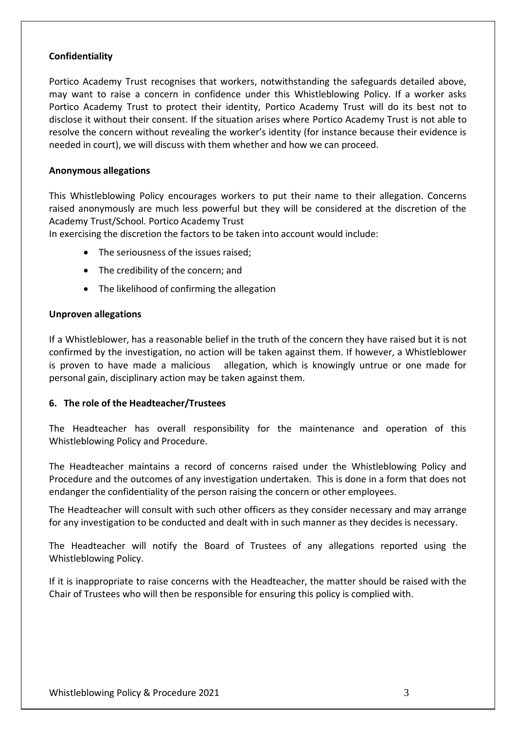### **Confidentiality**

Portico Academy Trust recognises that workers, notwithstanding the safeguards detailed above, may want to raise a concern in confidence under this Whistleblowing Policy. If a worker asks Portico Academy Trust to protect their identity, Portico Academy Trust will do its best not to disclose it without their consent. If the situation arises where Portico Academy Trust is not able to resolve the concern without revealing the worker's identity (for instance because their evidence is needed in court), we will discuss with them whether and how we can proceed.

#### **Anonymous allegations**

This Whistleblowing Policy encourages workers to put their name to their allegation. Concerns raised anonymously are much less powerful but they will be considered at the discretion of the Academy Trust/School. Portico Academy Trust

In exercising the discretion the factors to be taken into account would include:

- The seriousness of the issues raised;
- The credibility of the concern: and
- The likelihood of confirming the allegation

#### **Unproven allegations**

If a Whistleblower, has a reasonable belief in the truth of the concern they have raised but it is not confirmed by the investigation, no action will be taken against them. If however, a Whistleblower is proven to have made a malicious allegation, which is knowingly untrue or one made for personal gain, disciplinary action may be taken against them.

#### **6. The role of the Headteacher/Trustees**

The Headteacher has overall responsibility for the maintenance and operation of this Whistleblowing Policy and Procedure.

The Headteacher maintains a record of concerns raised under the Whistleblowing Policy and Procedure and the outcomes of any investigation undertaken. This is done in a form that does not endanger the confidentiality of the person raising the concern or other employees.

The Headteacher will consult with such other officers as they consider necessary and may arrange for any investigation to be conducted and dealt with in such manner as they decides is necessary.

The Headteacher will notify the Board of Trustees of any allegations reported using the Whistleblowing Policy.

If it is inappropriate to raise concerns with the Headteacher, the matter should be raised with the Chair of Trustees who will then be responsible for ensuring this policy is complied with.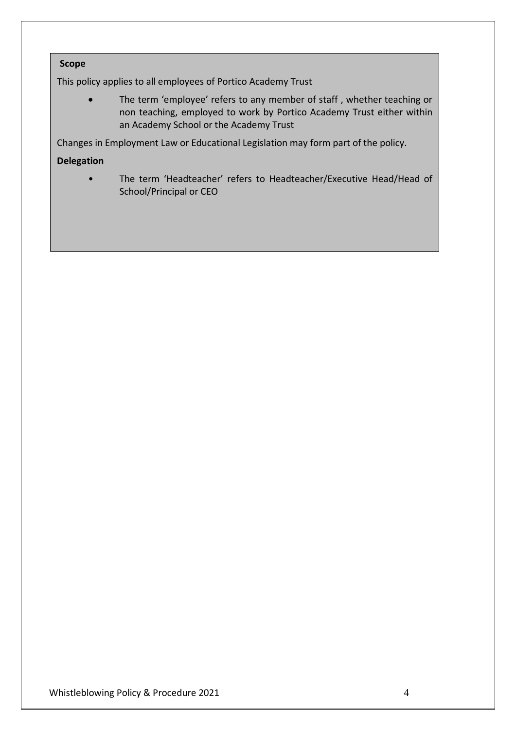## **Scope**

This policy applies to all employees of Portico Academy Trust

• The term 'employee' refers to any member of staff, whether teaching or non teaching, employed to work by Portico Academy Trust either within an Academy School or the Academy Trust

Changes in Employment Law or Educational Legislation may form part of the policy.

## **Delegation**

• The term 'Headteacher' refers to Headteacher/Executive Head/Head of School/Principal or CEO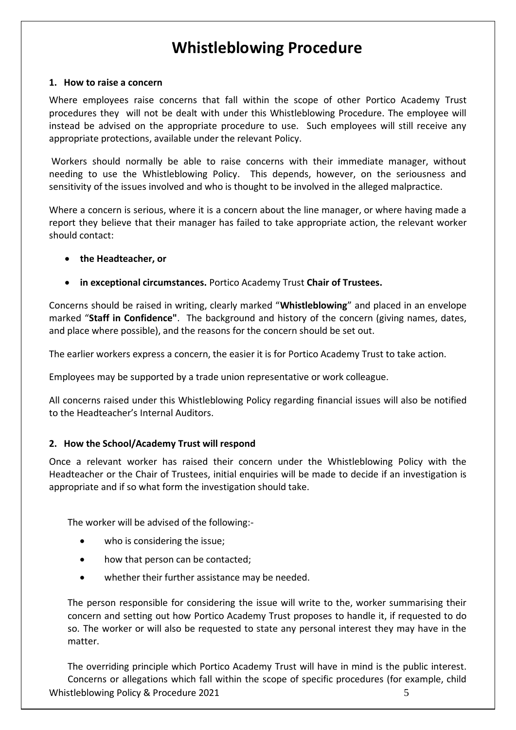## **Whistleblowing Procedure**

#### **1. How to raise a concern**

Where employees raise concerns that fall within the scope of other Portico Academy Trust procedures they will not be dealt with under this Whistleblowing Procedure. The employee will instead be advised on the appropriate procedure to use. Such employees will still receive any appropriate protections, available under the relevant Policy.

Workers should normally be able to raise concerns with their immediate manager, without needing to use the Whistleblowing Policy. This depends, however, on the seriousness and sensitivity of the issues involved and who is thought to be involved in the alleged malpractice.

Where a concern is serious, where it is a concern about the line manager, or where having made a report they believe that their manager has failed to take appropriate action, the relevant worker should contact:

- **the Headteacher, or**
- **in exceptional circumstances.** Portico Academy Trust **Chair of Trustees.**

Concerns should be raised in writing, clearly marked "**Whistleblowing**" and placed in an envelope marked "**Staff in Confidence"**. The background and history of the concern (giving names, dates, and place where possible), and the reasons for the concern should be set out.

The earlier workers express a concern, the easier it is for Portico Academy Trust to take action.

Employees may be supported by a trade union representative or work colleague.

All concerns raised under this Whistleblowing Policy regarding financial issues will also be notified to the Headteacher's Internal Auditors.

## **2. How the School/Academy Trust will respond**

Once a relevant worker has raised their concern under the Whistleblowing Policy with the Headteacher or the Chair of Trustees, initial enquiries will be made to decide if an investigation is appropriate and if so what form the investigation should take.

The worker will be advised of the following:-

- who is considering the issue;
- how that person can be contacted;
- whether their further assistance may be needed.

The person responsible for considering the issue will write to the, worker summarising their concern and setting out how Portico Academy Trust proposes to handle it, if requested to do so. The worker or will also be requested to state any personal interest they may have in the matter.

Whistleblowing Policy & Procedure 2021 5 The overriding principle which Portico Academy Trust will have in mind is the public interest. Concerns or allegations which fall within the scope of specific procedures (for example, child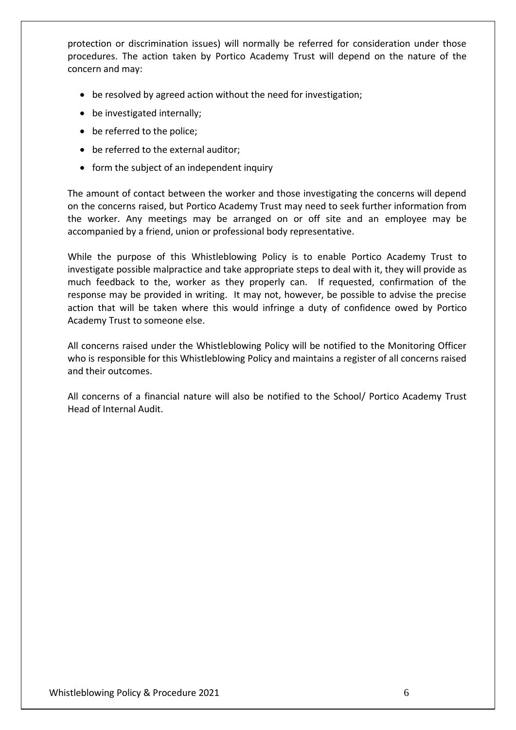protection or discrimination issues) will normally be referred for consideration under those procedures. The action taken by Portico Academy Trust will depend on the nature of the concern and may:

- be resolved by agreed action without the need for investigation;
- be investigated internally;
- be referred to the police;
- be referred to the external auditor:
- form the subject of an independent inquiry

The amount of contact between the worker and those investigating the concerns will depend on the concerns raised, but Portico Academy Trust may need to seek further information from the worker. Any meetings may be arranged on or off site and an employee may be accompanied by a friend, union or professional body representative.

While the purpose of this Whistleblowing Policy is to enable Portico Academy Trust to investigate possible malpractice and take appropriate steps to deal with it, they will provide as much feedback to the, worker as they properly can. If requested, confirmation of the response may be provided in writing. It may not, however, be possible to advise the precise action that will be taken where this would infringe a duty of confidence owed by Portico Academy Trust to someone else.

All concerns raised under the Whistleblowing Policy will be notified to the Monitoring Officer who is responsible for this Whistleblowing Policy and maintains a register of all concerns raised and their outcomes.

All concerns of a financial nature will also be notified to the School/ Portico Academy Trust Head of Internal Audit.